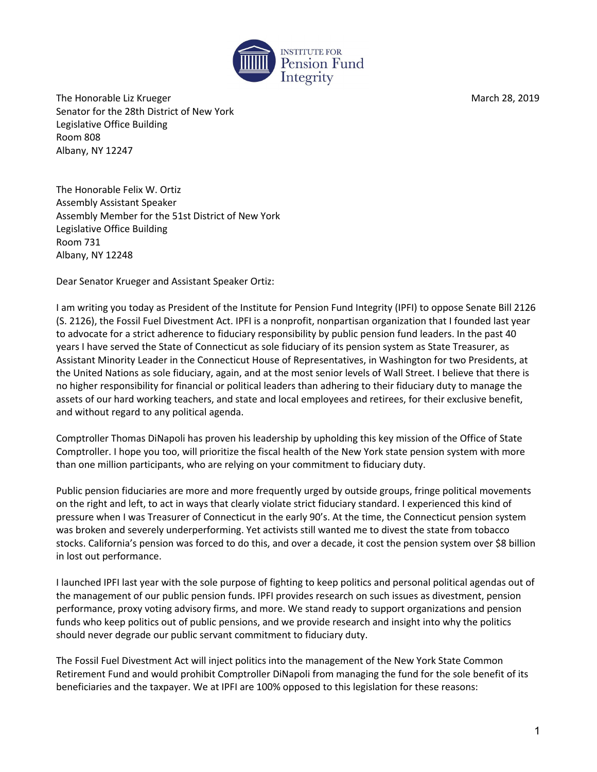

The Honorable Liz Krueger March 28, 2019 Senator for the 28th District of New York Legislative Office Building Room 808 Albany, NY 12247

The Honorable Felix W. Ortiz Assembly Assistant Speaker Assembly Member for the 51st District of New York Legislative Office Building Room 731 Albany, NY 12248

Dear Senator Krueger and Assistant Speaker Ortiz:

I am writing you today as President of the Institute for Pension Fund Integrity (IPFI) to oppose Senate Bill 2126 (S. 2126), the Fossil Fuel Divestment Act. IPFI is a nonprofit, nonpartisan organization that I founded last year to advocate for a strict adherence to fiduciary responsibility by public pension fund leaders. In the past 40 years I have served the State of Connecticut as sole fiduciary of its pension system as State Treasurer, as Assistant Minority Leader in the Connecticut House of Representatives, in Washington for two Presidents, at the United Nations as sole fiduciary, again, and at the most senior levels of Wall Street. I believe that there is no higher responsibility for financial or political leaders than adhering to their fiduciary duty to manage the assets of our hard working teachers, and state and local employees and retirees, for their exclusive benefit, and without regard to any political agenda.

Comptroller Thomas DiNapoli has proven his leadership by upholding this key mission of the Office of State Comptroller. I hope you too, will prioritize the fiscal health of the New York state pension system with more than one million participants, who are relying on your commitment to fiduciary duty.

Public pension fiduciaries are more and more frequently urged by outside groups, fringe political movements on the right and left, to act in ways that clearly violate strict fiduciary standard. I experienced this kind of pressure when I was Treasurer of Connecticut in the early 90's. At the time, the Connecticut pension system was broken and severely underperforming. Yet activists still wanted me to divest the state from tobacco stocks. California's pension was forced to do this, and over a decade, it cost the pension system over \$8 billion in lost out performance.

I launched IPFI last year with the sole purpose of fighting to keep politics and personal political agendas out of the management of our public pension funds. IPFI provides research on such issues as divestment, pension performance, proxy voting advisory firms, and more. We stand ready to support organizations and pension funds who keep politics out of public pensions, and we provide research and insight into why the politics should never degrade our public servant commitment to fiduciary duty.

The Fossil Fuel Divestment Act will inject politics into the management of the New York State Common Retirement Fund and would prohibit Comptroller DiNapoli from managing the fund for the sole benefit of its beneficiaries and the taxpayer. We at IPFI are 100% opposed to this legislation for these reasons: